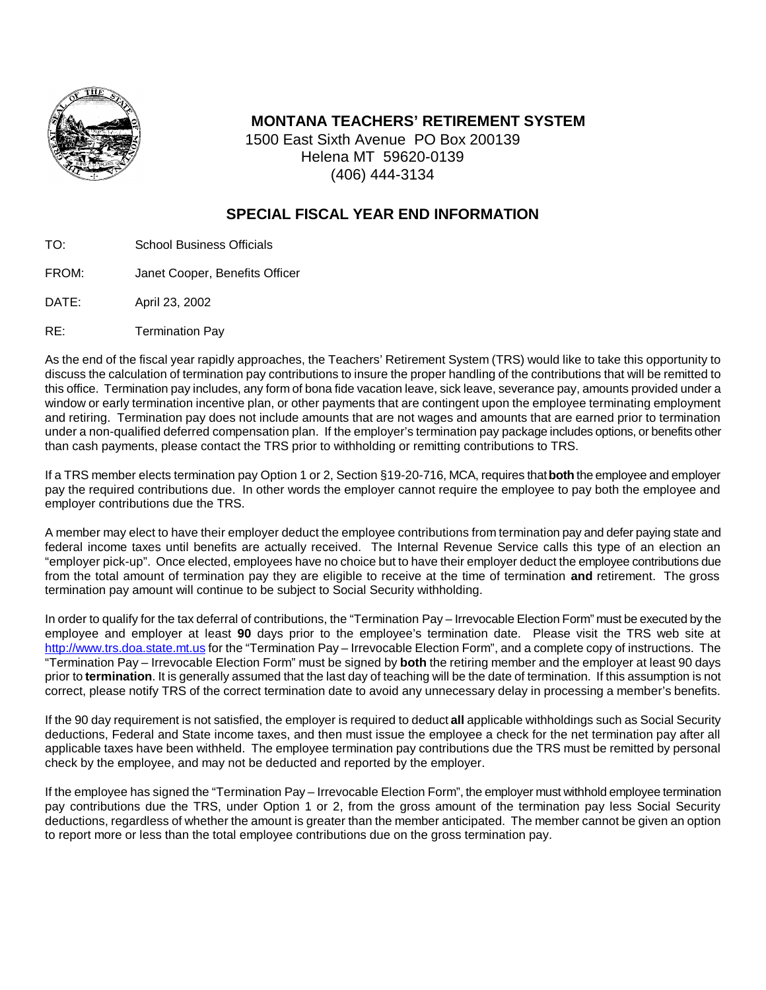

## **MONTANA TEACHERS' RETIREMENT SYSTEM**

1500 East Sixth Avenue PO Box 200139 Helena MT 59620-0139 (406) 444-3134

# **SPECIAL FISCAL YEAR END INFORMATION**

- TO: School Business Officials
- FROM: Janet Cooper, Benefits Officer
- DATE: April 23, 2002
- RE: Termination Pay

As the end of the fiscal year rapidly approaches, the Teachers' Retirement System (TRS) would like to take this opportunity to discuss the calculation of termination pay contributions to insure the proper handling of the contributions that will be remitted to this office. Termination pay includes, any form of bona fide vacation leave, sick leave, severance pay, amounts provided under a window or early termination incentive plan, or other payments that are contingent upon the employee terminating employment and retiring. Termination pay does not include amounts that are not wages and amounts that are earned prior to termination under a non-qualified deferred compensation plan. If the employer's termination pay package includes options, or benefits other than cash payments, please contact the TRS prior to withholding or remitting contributions to TRS.

If a TRS member elects termination pay Option 1 or 2, Section §19-20-716, MCA, requires that **both** the employee and employer pay the required contributions due. In other words the employer cannot require the employee to pay both the employee and employer contributions due the TRS.

A member may elect to have their employer deduct the employee contributions from termination pay and defer paying state and federal income taxes until benefits are actually received. The Internal Revenue Service calls this type of an election an "employer pick-up". Once elected, employees have no choice but to have their employer deduct the employee contributions due from the total amount of termination pay they are eligible to receive at the time of termination **and** retirement. The gross termination pay amount will continue to be subject to Social Security withholding.

In order to qualify for the tax deferral of contributions, the "Termination Pay – Irrevocable Election Form" must be executed by the employee and employer at least **90** days prior to the employee's termination date. Please visit the TRS web site at http://www.trs.doa.state.mt.us for the "Termination Pay – Irrevocable Election Form", and a complete copy of instructions. The "Termination Pay – Irrevocable Election Form" must be signed by **both** the retiring member and the employer at least 90 days prior to **termination**. It is generally assumed that the last day of teaching will be the date of termination. If this assumption is not correct, please notify TRS of the correct termination date to avoid any unnecessary delay in processing a member's benefits.

If the 90 day requirement is not satisfied, the employer is required to deduct **all** applicable withholdings such as Social Security deductions, Federal and State income taxes, and then must issue the employee a check for the net termination pay after all applicable taxes have been withheld. The employee termination pay contributions due the TRS must be remitted by personal check by the employee, and may not be deducted and reported by the employer.

If the employee has signed the "Termination Pay – Irrevocable Election Form", the employer must withhold employee termination pay contributions due the TRS, under Option 1 or 2, from the gross amount of the termination pay less Social Security deductions, regardless of whether the amount is greater than the member anticipated. The member cannot be given an option to report more or less than the total employee contributions due on the gross termination pay.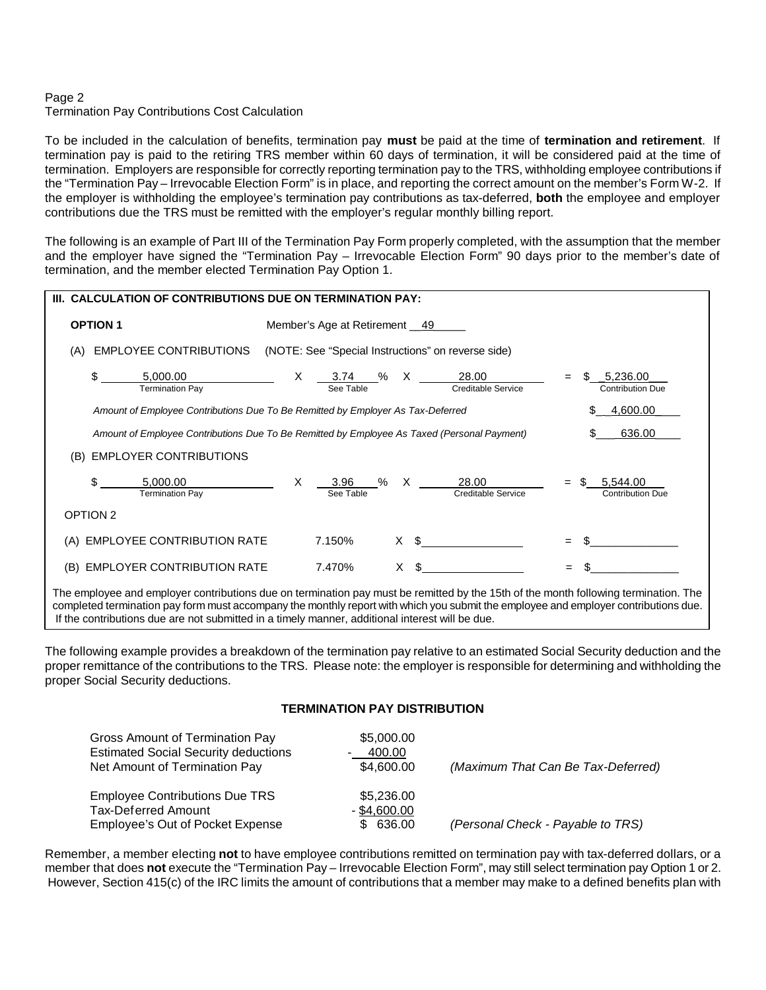## Page 2

### Termination Pay Contributions Cost Calculation

To be included in the calculation of benefits, termination pay **must** be paid at the time of **termination and retirement**. If termination pay is paid to the retiring TRS member within 60 days of termination, it will be considered paid at the time of termination. Employers are responsible for correctly reporting termination pay to the TRS, withholding employee contributions if the "Termination Pay – Irrevocable Election Form" is in place, and reporting the correct amount on the member's Form W-2. If the employer is withholding the employee's termination pay contributions as tax-deferred, **both** the employee and employer contributions due the TRS must be remitted with the employer's regular monthly billing report.

The following is an example of Part III of the Termination Pay Form properly completed, with the assumption that the member and the employer have signed the "Termination Pay – Irrevocable Election Form" 90 days prior to the member's date of termination, and the member elected Termination Pay Option 1.

| <b>CALCULATION OF CONTRIBUTIONS DUE ON TERMINATION PAY:</b><br>III.                                             |                                                                        |                                     |  |  |
|-----------------------------------------------------------------------------------------------------------------|------------------------------------------------------------------------|-------------------------------------|--|--|
| <b>OPTION 1</b>                                                                                                 | Member's Age at Retirement __49_                                       |                                     |  |  |
| <b>EMPLOYEE CONTRIBUTIONS</b><br>(A)                                                                            | (NOTE: See "Special Instructions" on reverse side)                     |                                     |  |  |
| \$<br>5,000.00<br><b>Termination Pay</b>                                                                        | X<br>X<br>28.00<br>3.74<br>%<br>See Table<br><b>Creditable Service</b> | 5,236.00<br>Contribution Due        |  |  |
| _4,600.00<br>Amount of Employee Contributions Due To Be Remitted by Employer As Tax-Deferred                    |                                                                        |                                     |  |  |
| 636.00<br>Amount of Employee Contributions Due To Be Remitted by Employee As Taxed (Personal Payment)           |                                                                        |                                     |  |  |
| <b>EMPLOYER CONTRIBUTIONS</b><br>(B)                                                                            |                                                                        |                                     |  |  |
| \$<br>5,000.00<br><b>Termination Pay</b>                                                                        | X.<br>% X<br>28.00<br>3.96<br>See Table<br>Creditable Service          | 5,544.00<br><b>Contribution Due</b> |  |  |
| OPTION 2                                                                                                        |                                                                        |                                     |  |  |
| EMPLOYEE CONTRIBUTION RATE<br>(A)                                                                               | 7.150%<br>X \$                                                         | $=$                                 |  |  |
| EMPLOYER CONTRIBUTION RATE<br>(B)                                                                               | $X \S$<br>7.470%                                                       | $=$                                 |  |  |
| the contract of the contract of the contract of the contract of the contract of the contract of the contract of |                                                                        |                                     |  |  |

The employee and employer contributions due on termination pay must be remitted by the 15th of the month following termination. The completed termination pay form must accompany the monthly report with which you submit the employee and employer contributions due. If the contributions due are not submitted in a timely manner, additional interest will be due.

The following example provides a breakdown of the termination pay relative to an estimated Social Security deduction and the proper remittance of the contributions to the TRS. Please note: the employer is responsible for determining and withholding the proper Social Security deductions.

#### **TERMINATION PAY DISTRIBUTION**

| Gross Amount of Termination Pay<br><b>Estimated Social Security deductions</b><br>Net Amount of Termination Pay | \$5,000.00<br>400.00<br>\$4,600.00        | (Maximum That Can Be Tax-Deferred) |
|-----------------------------------------------------------------------------------------------------------------|-------------------------------------------|------------------------------------|
| <b>Employee Contributions Due TRS</b><br><b>Tax-Deferred Amount</b><br>Employee's Out of Pocket Expense         | \$5,236.00<br>$-$ \$4,600.00<br>\$ 636.00 | (Personal Check - Payable to TRS)  |

Remember, a member electing **not** to have employee contributions remitted on termination pay with tax-deferred dollars, or a member that does **not** execute the "Termination Pay – Irrevocable Election Form", may still select termination pay Option 1 or 2. However, Section 415(c) of the IRC limits the amount of contributions that a member may make to a defined benefits plan with